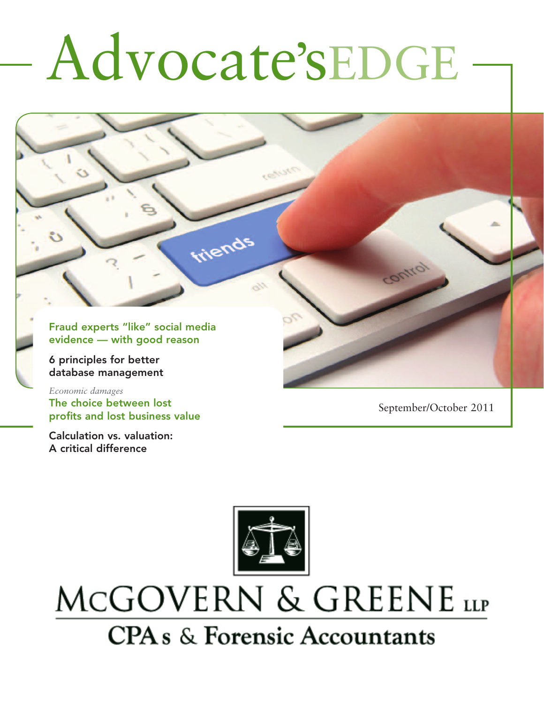# Advocate'sEDGE

triends

elum

Fraud experts "like" social media evidence — with good reason

6 principles for better database management

*Economic damages* The choice between lost profits and lost business value

Calculation vs. valuation: A critical difference

September/October 2011

ontro



# MCGOVERN & GREENE LLP **CPA** s & Forensic Accountants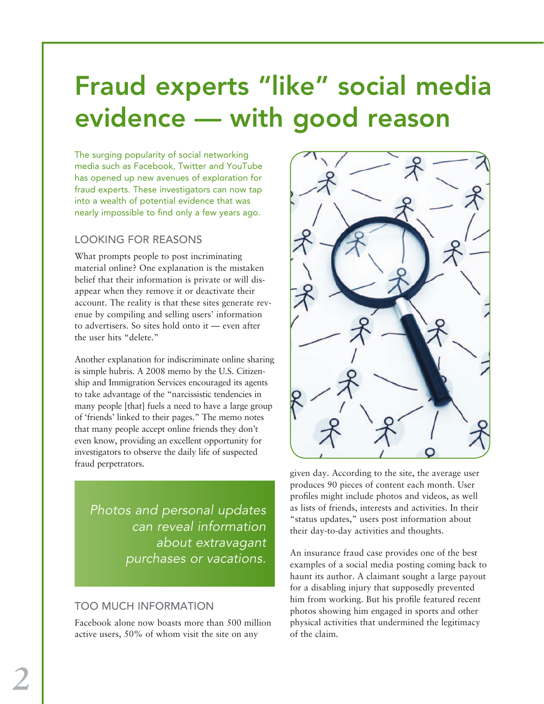### Fraud experts "like" social media evidence — with good reason

The surging popularity of social networking media such as Facebook, Twitter and YouTube has opened up new avenues of exploration for fraud experts. These investigators can now tap into a wealth of potential evidence that was nearly impossible to find only a few years ago.

#### Looking for reasons

What prompts people to post incriminating material online? One explanation is the mistaken belief that their information is private or will disappear when they remove it or deactivate their account. The reality is that these sites generate revenue by compiling and selling users' information to advertisers. So sites hold onto it — even after the user hits "delete."

Another explanation for indiscriminate online sharing is simple hubris. A 2008 memo by the U.S. Citizenship and Immigration Services encouraged its agents to take advantage of the "narcissistic tendencies in many people [that] fuels a need to have a large group of 'friends' linked to their pages." The memo notes that many people accept online friends they don't even know, providing an excellent opportunity for investigators to observe the daily life of suspected fraud perpetrators.

*Photos and personal updates can reveal information about extravagant purchases or vacations.*

#### Too much information

Facebook alone now boasts more than 500 million active users, 50% of whom visit the site on any



given day. According to the site, the average user produces 90 pieces of content each month. User profiles might include photos and videos, as well as lists of friends, interests and activities. In their "status updates," users post information about their day-to-day activities and thoughts.

An insurance fraud case provides one of the best examples of a social media posting coming back to haunt its author. A claimant sought a large payout for a disabling injury that supposedly prevented him from working. But his profile featured recent photos showing him engaged in sports and other physical activities that undermined the legitimacy of the claim.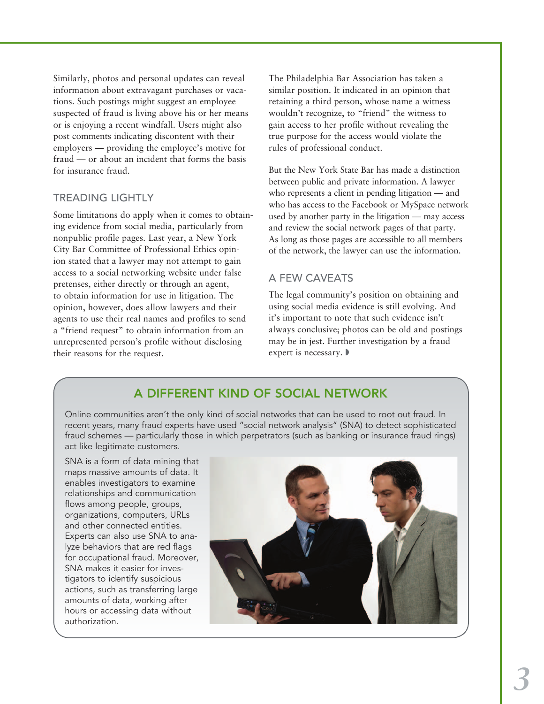Similarly, photos and personal updates can reveal information about extravagant purchases or vacations. Such postings might suggest an employee suspected of fraud is living above his or her means or is enjoying a recent windfall. Users might also post comments indicating discontent with their employers — providing the employee's motive for fraud — or about an incident that forms the basis for insurance fraud.

#### Treading lightly

Some limitations do apply when it comes to obtaining evidence from social media, particularly from nonpublic profile pages. Last year, a New York City Bar Committee of Professional Ethics opinion stated that a lawyer may not attempt to gain access to a social networking website under false pretenses, either directly or through an agent, to obtain information for use in litigation. The opinion, however, does allow lawyers and their agents to use their real names and profiles to send a "friend request" to obtain information from an unrepresented person's profile without disclosing their reasons for the request.

The Philadelphia Bar Association has taken a similar position. It indicated in an opinion that retaining a third person, whose name a witness wouldn't recognize, to "friend" the witness to gain access to her profile without revealing the true purpose for the access would violate the rules of professional conduct.

But the New York State Bar has made a distinction between public and private information. A lawyer who represents a client in pending litigation — and who has access to the Facebook or MySpace network used by another party in the litigation — may access and review the social network pages of that party. As long as those pages are accessible to all members of the network, the lawyer can use the information.

#### A few caveats

The legal community's position on obtaining and using social media evidence is still evolving. And it's important to note that such evidence isn't always conclusive; photos can be old and postings may be in jest. Further investigation by a fraud expert is necessary.

#### A different kind of social network

Online communities aren't the only kind of social networks that can be used to root out fraud. In recent years, many fraud experts have used "social network analysis" (SNA) to detect sophisticated fraud schemes — particularly those in which perpetrators (such as banking or insurance fraud rings) act like legitimate customers.

SNA is a form of data mining that maps massive amounts of data. It enables investigators to examine relationships and communication flows among people, groups, organizations, computers, URLs and other connected entities. Experts can also use SNA to analyze behaviors that are red flags for occupational fraud. Moreover, SNA makes it easier for investigators to identify suspicious actions, such as transferring large amounts of data, working after hours or accessing data without authorization.

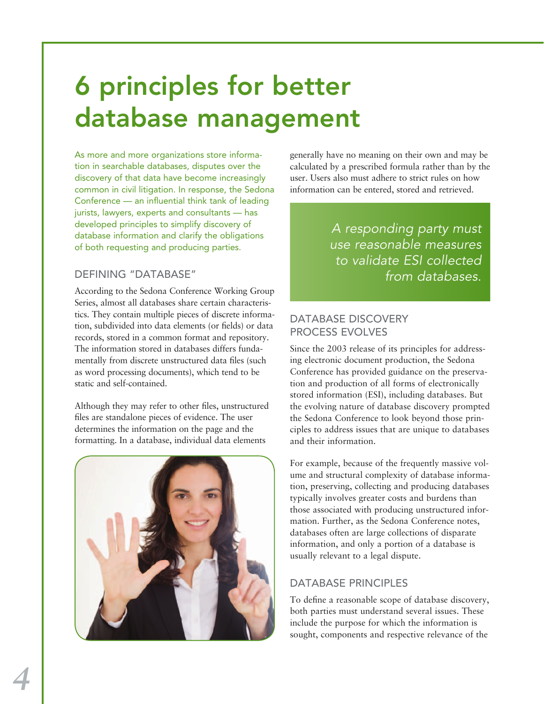# 6 principles for better database management

As more and more organizations store information in searchable databases, disputes over the discovery of that data have become increasingly common in civil litigation. In response, the Sedona Conference — an influential think tank of leading jurists, lawyers, experts and consultants — has developed principles to simplify discovery of database information and clarify the obligations of both requesting and producing parties.

#### DEFINING "DATABASE"

According to the Sedona Conference Working Group Series, almost all databases share certain characteristics. They contain multiple pieces of discrete information, subdivided into data elements (or fields) or data records, stored in a common format and repository. The information stored in databases differs fundamentally from discrete unstructured data files (such as word processing documents), which tend to be static and self-contained.

Although they may refer to other files, unstructured files are standalone pieces of evidence. The user determines the information on the page and the formatting. In a database, individual data elements



generally have no meaning on their own and may be calculated by a prescribed formula rather than by the user. Users also must adhere to strict rules on how information can be entered, stored and retrieved.

> *A responding party must use reasonable measures to validate ESI collected from databases.*

#### DATABASE DISCOVERY process evolves

Since the 2003 release of its principles for addressing electronic document production, the Sedona Conference has provided guidance on the preservation and production of all forms of electronically stored information (ESI), including databases. But the evolving nature of database discovery prompted the Sedona Conference to look beyond those principles to address issues that are unique to databases and their information.

For example, because of the frequently massive volume and structural complexity of database information, preserving, collecting and producing databases typically involves greater costs and burdens than those associated with producing unstructured information. Further, as the Sedona Conference notes, databases often are large collections of disparate information, and only a portion of a database is usually relevant to a legal dispute.

#### DATABASE PRINCIPLES

To define a reasonable scope of database discovery, both parties must understand several issues. These include the purpose for which the information is sought, components and respective relevance of the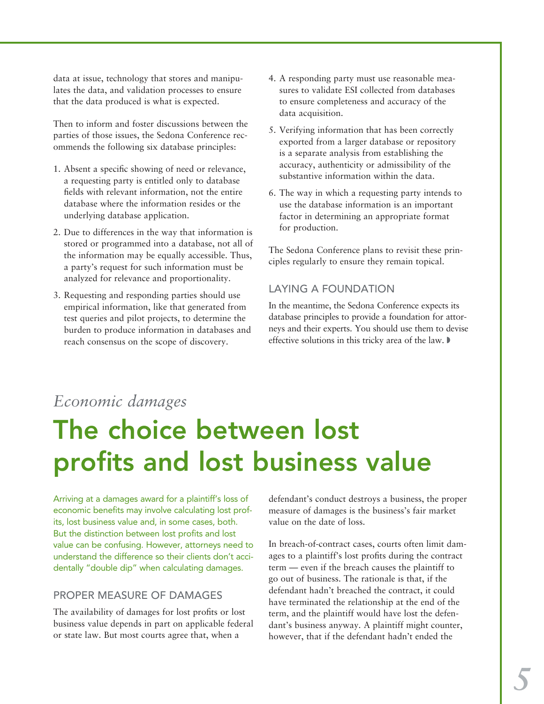data at issue, technology that stores and manipulates the data, and validation processes to ensure that the data produced is what is expected.

Then to inform and foster discussions between the parties of those issues, the Sedona Conference recommends the following six database principles:

- 1. Absent a specific showing of need or relevance, a requesting party is entitled only to database fields with relevant information, not the entire database where the information resides or the underlying database application.
- 2. Due to differences in the way that information is stored or programmed into a database, not all of the information may be equally accessible. Thus, a party's request for such information must be analyzed for relevance and proportionality.
- 3. Requesting and responding parties should use empirical information, like that generated from test queries and pilot projects, to determine the burden to produce information in databases and reach consensus on the scope of discovery.
- 4. A responding party must use reasonable measures to validate ESI collected from databases to ensure completeness and accuracy of the data acquisition.
- 5. Verifying information that has been correctly exported from a larger database or repository is a separate analysis from establishing the accuracy, authenticity or admissibility of the substantive information within the data.
- 6. The way in which a requesting party intends to use the database information is an important factor in determining an appropriate format for production.

The Sedona Conference plans to revisit these principles regularly to ensure they remain topical.

#### Laying a foundation

In the meantime, the Sedona Conference expects its database principles to provide a foundation for attorneys and their experts. You should use them to devise effective solutions in this tricky area of the law.  $\blacktriangleright$ 

#### *Economic damages*

# The choice between lost profits and lost business value

Arriving at a damages award for a plaintiff's loss of economic benefits may involve calculating lost profits, lost business value and, in some cases, both. But the distinction between lost profits and lost value can be confusing. However, attorneys need to understand the difference so their clients don't accidentally "double dip" when calculating damages.

#### Proper measure of damages

The availability of damages for lost profits or lost business value depends in part on applicable federal or state law. But most courts agree that, when a

defendant's conduct destroys a business, the proper measure of damages is the business's fair market value on the date of loss.

In breach-of-contract cases, courts often limit damages to a plaintiff's lost profits during the contract term — even if the breach causes the plaintiff to go out of business. The rationale is that, if the defendant hadn't breached the contract, it could have terminated the relationship at the end of the term, and the plaintiff would have lost the defendant's business anyway. A plaintiff might counter, however, that if the defendant hadn't ended the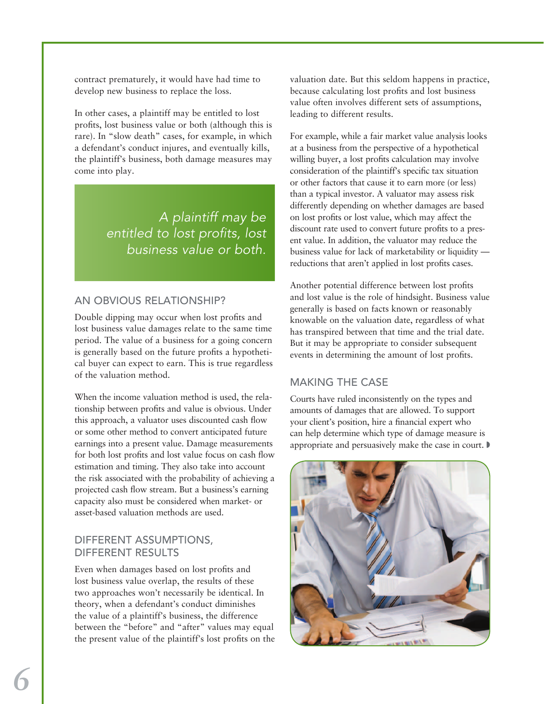contract prematurely, it would have had time to develop new business to replace the loss.

In other cases, a plaintiff may be entitled to lost profits, lost business value or both (although this is rare). In "slow death" cases, for example, in which a defendant's conduct injures, and eventually kills, the plaintiff's business, both damage measures may come into play.

> *A plaintiff may be entitled to lost profits, lost business value or both.*

#### An obvious relationship?

Double dipping may occur when lost profits and lost business value damages relate to the same time period. The value of a business for a going concern is generally based on the future profits a hypothetical buyer can expect to earn. This is true regardless of the valuation method.

When the income valuation method is used, the relationship between profits and value is obvious. Under this approach, a valuator uses discounted cash flow or some other method to convert anticipated future earnings into a present value. Damage measurements for both lost profits and lost value focus on cash flow estimation and timing. They also take into account the risk associated with the probability of achieving a projected cash flow stream. But a business's earning capacity also must be considered when market- or asset-based valuation methods are used.

#### Different assumptions, different results

Even when damages based on lost profits and lost business value overlap, the results of these two approaches won't necessarily be identical. In theory, when a defendant's conduct diminishes the value of a plaintiff's business, the difference between the "before" and "after" values may equal the present value of the plaintiff's lost profits on the valuation date. But this seldom happens in practice, because calculating lost profits and lost business value often involves different sets of assumptions, leading to different results.

For example, while a fair market value analysis looks at a business from the perspective of a hypothetical willing buyer, a lost profits calculation may involve consideration of the plaintiff's specific tax situation or other factors that cause it to earn more (or less) than a typical investor. A valuator may assess risk differently depending on whether damages are based on lost profits or lost value, which may affect the discount rate used to convert future profits to a present value. In addition, the valuator may reduce the business value for lack of marketability or liquidity reductions that aren't applied in lost profits cases.

Another potential difference between lost profits and lost value is the role of hindsight. Business value generally is based on facts known or reasonably knowable on the valuation date, regardless of what has transpired between that time and the trial date. But it may be appropriate to consider subsequent events in determining the amount of lost profits.

#### Making the case

Courts have ruled inconsistently on the types and amounts of damages that are allowed. To support your client's position, hire a financial expert who can help determine which type of damage measure is appropriate and persuasively make the case in court.  $\blacktriangleright$